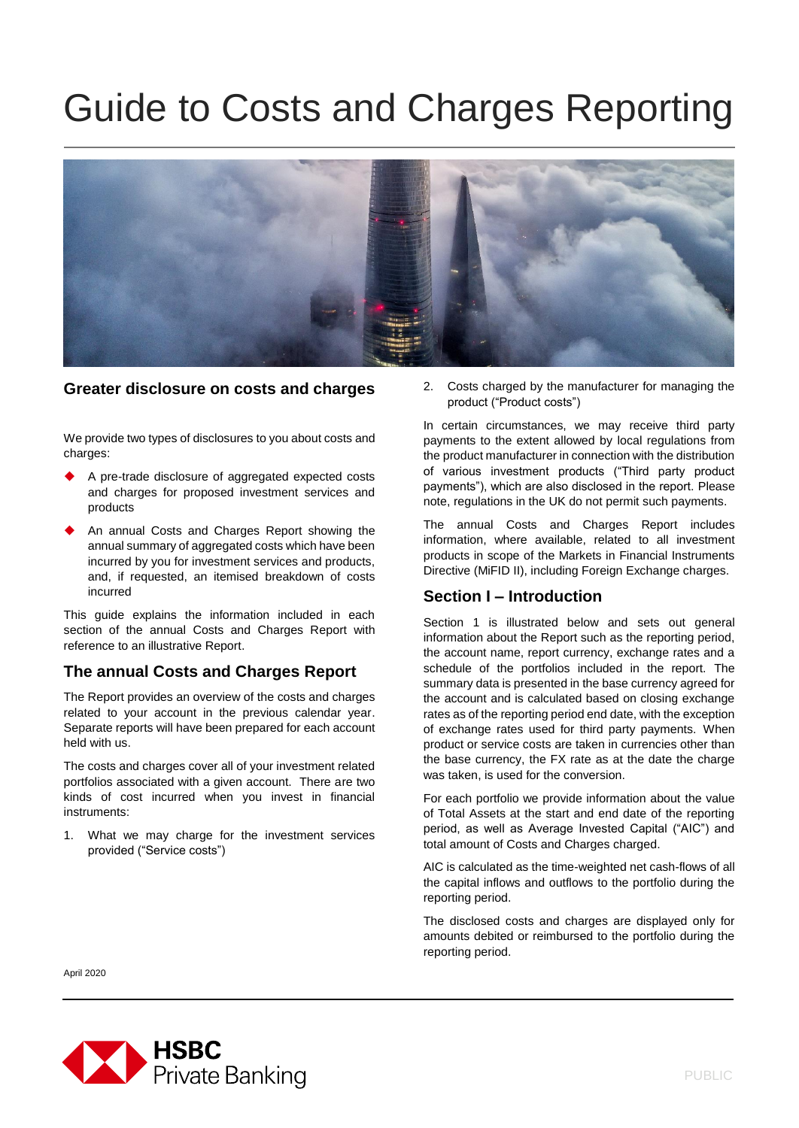# Guide to Costs and Charges Reporting



#### **Greater disclosure on costs and charges**

We provide two types of disclosures to you about costs and charges:

- A pre-trade disclosure of aggregated expected costs and charges for proposed investment services and products
- An annual Costs and Charges Report showing the annual summary of aggregated costs which have been incurred by you for investment services and products, and, if requested, an itemised breakdown of costs incurred

This guide explains the information included in each section of the annual Costs and Charges Report with reference to an illustrative Report.

#### **The annual Costs and Charges Report**

The Report provides an overview of the costs and charges related to your account in the previous calendar year. Separate reports will have been prepared for each account held with us.

The costs and charges cover all of your investment related portfolios associated with a given account. There are two kinds of cost incurred when you invest in financial instruments:

1. What we may charge for the investment services provided ("Service costs")

2. Costs charged by the manufacturer for managing the product ("Product costs")

In certain circumstances, we may receive third party payments to the extent allowed by local regulations from the product manufacturer in connection with the distribution of various investment products ("Third party product payments"), which are also disclosed in the report. Please note, regulations in the UK do not permit such payments.

The annual Costs and Charges Report includes information, where available, related to all investment products in scope of the Markets in Financial Instruments Directive (MiFID II), including Foreign Exchange charges.

# **Section I – Introduction**

Section 1 is illustrated below and sets out general information about the Report such as the reporting period, the account name, report currency, exchange rates and a schedule of the portfolios included in the report. The summary data is presented in the base currency agreed for the account and is calculated based on closing exchange rates as of the reporting period end date, with the exception of exchange rates used for third party payments. When product or service costs are taken in currencies other than the base currency, the FX rate as at the date the charge was taken, is used for the conversion.

For each portfolio we provide information about the value of Total Assets at the start and end date of the reporting period, as well as Average Invested Capital ("AIC") and total amount of Costs and Charges charged.

AIC is calculated as the time-weighted net cash-flows of all the capital inflows and outflows to the portfolio during the reporting period.

The disclosed costs and charges are displayed only for amounts debited or reimbursed to the portfolio during the reporting period.

April 2020

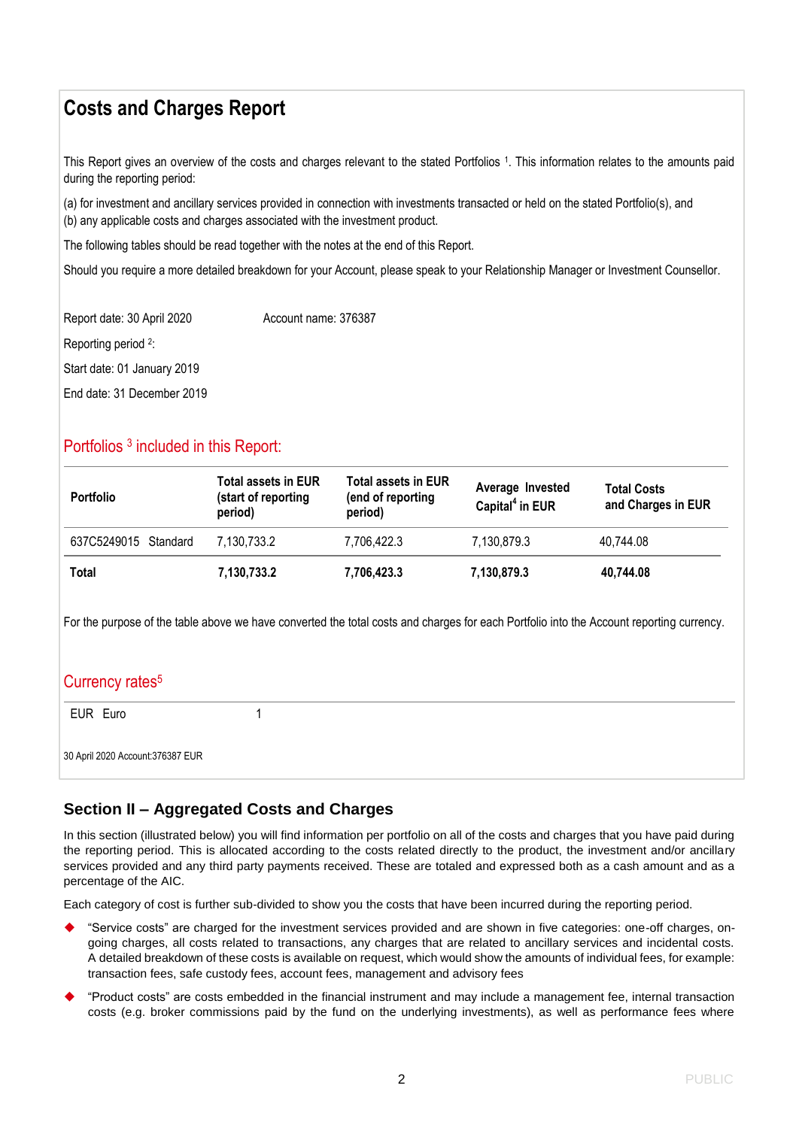# **Costs and Charges Report**

This Report gives an overview of the costs and charges relevant to the stated Portfolios 1. This information relates to the amounts paid during the reporting period:

(a) for investment and ancillary services provided in connection with investments transacted or held on the stated Portfolio(s), and (b) any applicable costs and charges associated with the investment product.

The following tables should be read together with the notes at the end of this Report.

Should you require a more detailed breakdown for your Account, please speak to your Relationship Manager or Investment Counsellor.

Report date: 30 April 2020 Account name: 376387 Reporting period <sup>2</sup>: Start date: 01 January 2019 End date: 31 December 2019

# Portfolios<sup>3</sup> included in this Report:

| <b>Portfolio</b>     | <b>Total assets in EUR</b><br>(start of reporting<br>period) | <b>Total assets in EUR</b><br>(end of reporting<br>period) | Average Invested<br>Capital <sup>4</sup> in EUR | <b>Total Costs</b><br>and Charges in EUR |
|----------------------|--------------------------------------------------------------|------------------------------------------------------------|-------------------------------------------------|------------------------------------------|
| 637C5249015 Standard | 7,130,733.2                                                  | 7.706.422.3                                                | 7.130.879.3                                     | 40.744.08                                |
| <b>Total</b>         | 7,130,733.2                                                  | 7,706,423.3                                                | 7,130,879.3                                     | 40,744.08                                |

For the purpose of the table above we have converted the total costs and charges for each Portfolio into the Account reporting currency.

# Currency rates<sup>5</sup>

EUR Euro 1

30 April 2020 Account:376387 EUR

# **Section II – Aggregated Costs and Charges**

In this section (illustrated below) you will find information per portfolio on all of the costs and charges that you have paid during the reporting period. This is allocated according to the costs related directly to the product, the investment and/or ancillary services provided and any third party payments received. These are totaled and expressed both as a cash amount and as a percentage of the AIC.

Each category of cost is further sub-divided to show you the costs that have been incurred during the reporting period.

- "Service costs" are charged for the investment services provided and are shown in five categories: one-off charges, ongoing charges, all costs related to transactions, any charges that are related to ancillary services and incidental costs. A detailed breakdown of these costs is available on request, which would show the amounts of individual fees, for example: transaction fees, safe custody fees, account fees, management and advisory fees
- "Product costs" are costs embedded in the financial instrument and may include a management fee, internal transaction costs (e.g. broker commissions paid by the fund on the underlying investments), as well as performance fees where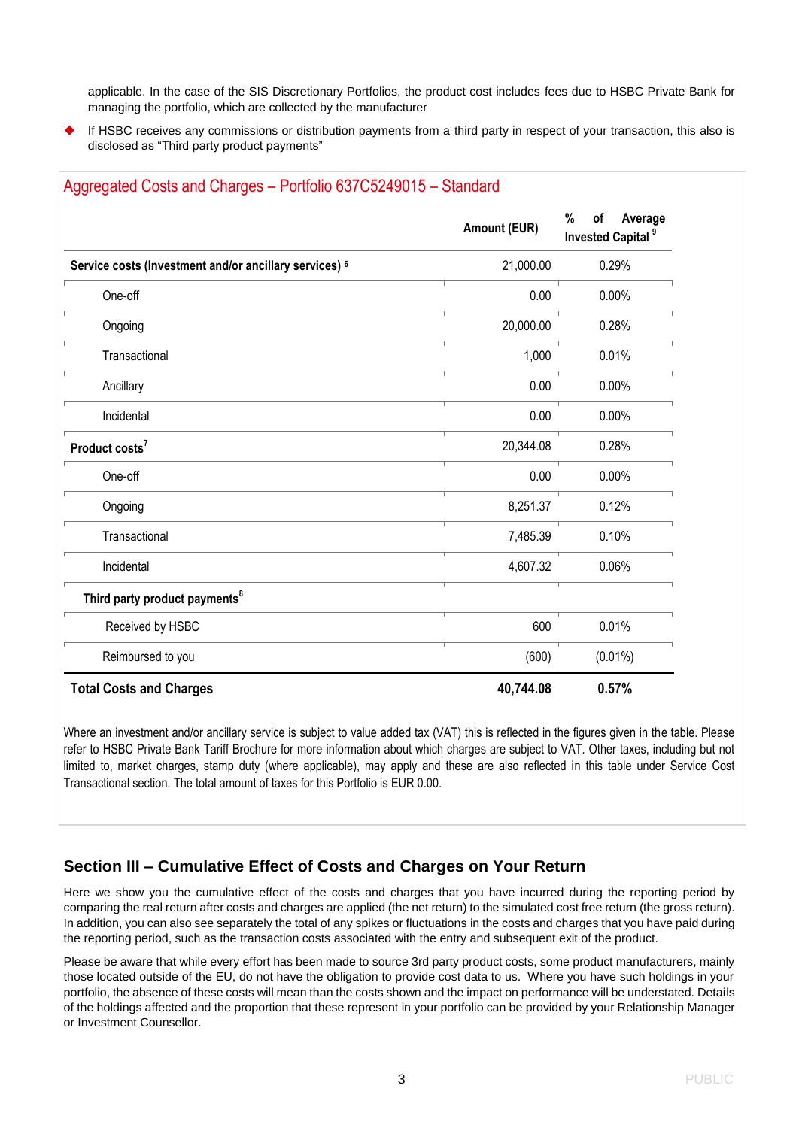applicable. In the case of the SIS Discretionary Portfolios, the product cost includes fees due to HSBC Private Bank for managing the portfolio, which are collected by the manufacturer

 If HSBC receives any commissions or distribution payments from a third party in respect of your transaction, this also is disclosed as "Third party product payments"

|                                                        | Amount (EUR) | %<br>Average<br>οf<br><b>Invested Capital<sup>9</sup></b> |  |
|--------------------------------------------------------|--------------|-----------------------------------------------------------|--|
| Service costs (Investment and/or ancillary services) 6 | 21,000.00    | 0.29%                                                     |  |
| One-off                                                | 0.00         | 0.00%                                                     |  |
| Ongoing                                                | 20,000.00    | 0.28%                                                     |  |
| Transactional                                          | 1,000        | 0.01%                                                     |  |
| Ancillary                                              | 0.00         | 0.00%                                                     |  |
| Incidental                                             | 0.00         | 0.00%                                                     |  |
| Product costs <sup>7</sup>                             | 20,344.08    | 0.28%                                                     |  |
| One-off                                                | 0.00         | 0.00%                                                     |  |
| Ongoing                                                | 8,251.37     | 0.12%                                                     |  |
| Transactional                                          | 7,485.39     | 0.10%                                                     |  |
| Incidental                                             | 4,607.32     | 0.06%                                                     |  |
| Third party product payments <sup>8</sup>              |              |                                                           |  |
| Received by HSBC                                       | 600          | 0.01%                                                     |  |
| Reimbursed to you                                      | (600)        | $(0.01\%)$                                                |  |
| <b>Total Costs and Charges</b>                         | 40,744.08    | 0.57%                                                     |  |

#### Aggregated Costs and Charges – Portfolio 637C5249015 – Standard

Where an investment and/or ancillary service is subject to value added tax (VAT) this is reflected in the figures given in the table. Please refer to HSBC Private Bank Tariff Brochure for more information about which charges are subject to VAT. Other taxes, including but not limited to, market charges, stamp duty (where applicable), may apply and these are also reflected in this table under Service Cost Transactional section. The total amount of taxes for this Portfolio is EUR 0.00.

# **Section III – Cumulative Effect of Costs and Charges on Your Return**

Here we show you the cumulative effect of the costs and charges that you have incurred during the reporting period by comparing the real return after costs and charges are applied (the net return) to the simulated cost free return (the gross return). In addition, you can also see separately the total of any spikes or fluctuations in the costs and charges that you have paid during the reporting period, such as the transaction costs associated with the entry and subsequent exit of the product.

Please be aware that while every effort has been made to source 3rd party product costs, some product manufacturers, mainly those located outside of the EU, do not have the obligation to provide cost data to us. Where you have such holdings in your portfolio, the absence of these costs will mean than the costs shown and the impact on performance will be understated. Details of the holdings affected and the proportion that these represent in your portfolio can be provided by your Relationship Manager or Investment Counsellor.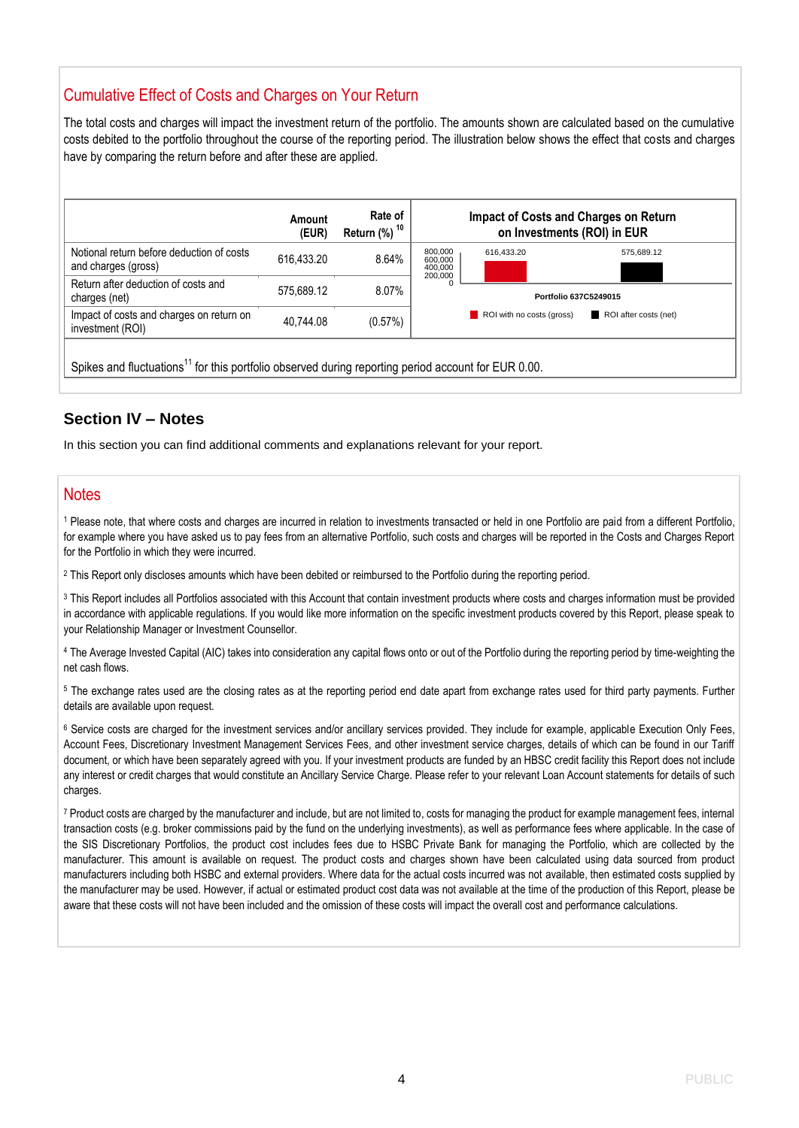# Cumulative Effect of Costs and Charges on Your Return

The total costs and charges will impact the investment return of the portfolio. The amounts shown are calculated based on the cumulative costs debited to the portfolio throughout the course of the reporting period. The illustration below shows the effect that costs and charges have by comparing the return before and after these are applied.

|                                                                                                                 | Amount<br>(EUR) | Rate of<br>Return (%) <sup>10</sup> + | Impact of Costs and Charges on Return<br>on Investments (ROI) in EUR |                           |                       |
|-----------------------------------------------------------------------------------------------------------------|-----------------|---------------------------------------|----------------------------------------------------------------------|---------------------------|-----------------------|
| Notional return before deduction of costs<br>and charges (gross)                                                | 616.433.20      | 8.64%                                 | 800,000<br>600,000<br>400,000                                        | 616.433.20                | 575,689.12            |
| Return after deduction of costs and<br>charges (net)                                                            | 575.689.12      | 8.07%                                 | 200,000                                                              | Portfolio 637C5249015     |                       |
| Impact of costs and charges on return on<br>investment (ROI)                                                    | 40.744.08       | (0.57%)                               |                                                                      | ROI with no costs (gross) | ROI after costs (net) |
| Spikes and fluctuations <sup>11</sup> for this portfolio observed during reporting period account for EUR 0.00. |                 |                                       |                                                                      |                           |                       |

### **Section IV – Notes**

In this section you can find additional comments and explanations relevant for your report.

### **Notes**

<sup>1</sup> Please note, that where costs and charges are incurred in relation to investments transacted or held in one Portfolio are paid from a different Portfolio, for example where you have asked us to pay fees from an alternative Portfolio, such costs and charges will be reported in the Costs and Charges Report for the Portfolio in which they were incurred.

<sup>2</sup> This Report only discloses amounts which have been debited or reimbursed to the Portfolio during the reporting period.

<sup>3</sup> This Report includes all Portfolios associated with this Account that contain investment products where costs and charges information must be provided in accordance with applicable regulations. If you would like more information on the specific investment products covered by this Report, please speak to your Relationship Manager or Investment Counsellor.

<sup>4</sup> The Average Invested Capital (AIC) takes into consideration any capital flows onto or out of the Portfolio during the reporting period by time-weighting the net cash flows.

<sup>5</sup> The exchange rates used are the closing rates as at the reporting period end date apart from exchange rates used for third party payments. Further details are available upon request.

<sup>6</sup> Service costs are charged for the investment services and/or ancillary services provided. They include for example, applicable Execution Only Fees, Account Fees, Discretionary Investment Management Services Fees, and other investment service charges, details of which can be found in our Tariff document, or which have been separately agreed with you. If your investment products are funded by an HBSC credit facility this Report does not include any interest or credit charges that would constitute an Ancillary Service Charge. Please refer to your relevant Loan Account statements for details of such charges.

<sup>7</sup> Product costs are charged by the manufacturer and include, but are not limited to, costs for managing the product for example management fees, internal transaction costs (e.g. broker commissions paid by the fund on the underlying investments), as well as performance fees where applicable. In the case of the SIS Discretionary Portfolios, the product cost includes fees due to HSBC Private Bank for managing the Portfolio, which are collected by the manufacturer. This amount is available on request. The product costs and charges shown have been calculated using data sourced from product manufacturers including both HSBC and external providers. Where data for the actual costs incurred was not available, then estimated costs supplied by the manufacturer may be used. However, if actual or estimated product cost data was not available at the time of the production of this Report, please be aware that these costs will not have been included and the omission of these costs will impact the overall cost and performance calculations.